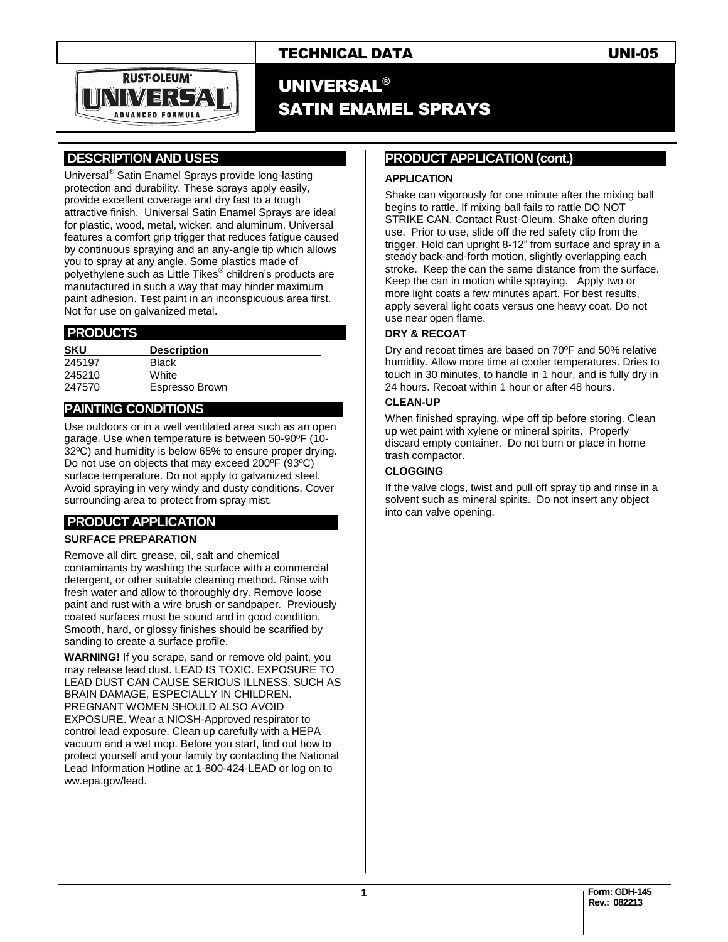

### TECHNICAL DATA UNI-05

## UNIVERSAL® SATIN ENAMEL SPRAYS

#### **.DESCRIPTION AND USES .**

Universal® Satin Enamel Sprays provide long-lasting protection and durability. These sprays apply easily, provide excellent coverage and dry fast to a tough attractive finish. Universal Satin Enamel Sprays are ideal for plastic, wood, metal, wicker, and aluminum. Universal features a comfort grip trigger that reduces fatigue caused by continuous spraying and an any-angle tip which allows you to spray at any angle. Some plastics made of polyethylene such as Little Tikes® children's products are manufactured in such a way that may hinder maximum paint adhesion. Test paint in an inconspicuous area first. Not for use on galvanized metal.

#### **.PRODUCTS .**

| <b>Description</b> |  |  |  |
|--------------------|--|--|--|
| <b>Black</b>       |  |  |  |
| White              |  |  |  |
| Espresso Brown     |  |  |  |
|                    |  |  |  |

#### **PAINTING CONDITIONS .**

Use outdoors or in a well ventilated area such as an open garage. Use when temperature is between 50-90ºF (10- 32ºC) and humidity is below 65% to ensure proper drying. Do not use on objects that may exceed 200ºF (93ºC) surface temperature. Do not apply to galvanized steel. Avoid spraying in very windy and dusty conditions. Cover surrounding area to protect from spray mist.

#### **PRODUCT APPLICATION .**

#### **SURFACE PREPARATION**

Remove all dirt, grease, oil, salt and chemical contaminants by washing the surface with a commercial detergent, or other suitable cleaning method. Rinse with fresh water and allow to thoroughly dry. Remove loose paint and rust with a wire brush or sandpaper. Previously coated surfaces must be sound and in good condition. Smooth, hard, or glossy finishes should be scarified by sanding to create a surface profile.

**WARNING!** If you scrape, sand or remove old paint, you may release lead dust. LEAD IS TOXIC. EXPOSURE TO LEAD DUST CAN CAUSE SERIOUS ILLNESS, SUCH AS BRAIN DAMAGE, ESPECIALLY IN CHILDREN. PREGNANT WOMEN SHOULD ALSO AVOID EXPOSURE. Wear a NIOSH-Approved respirator to control lead exposure. Clean up carefully with a HEPA vacuum and a wet mop. Before you start, find out how to protect yourself and your family by contacting the National Lead Information Hotline at 1-800-424-LEAD or log on to ww.epa.gov/lead.

#### **PRODUCT APPLICATION (cont.) .**

#### **APPLICATION**

Shake can vigorously for one minute after the mixing ball begins to rattle. If mixing ball fails to rattle DO NOT STRIKE CAN. Contact Rust-Oleum. Shake often during use. Prior to use, slide off the red safety clip from the trigger. Hold can upright 8-12" from surface and spray in a steady back-and-forth motion, slightly overlapping each stroke. Keep the can the same distance from the surface. Keep the can in motion while spraying. Apply two or more light coats a few minutes apart. For best results, apply several light coats versus one heavy coat. Do not use near open flame.

#### **DRY & RECOAT**

Dry and recoat times are based on 70ºF and 50% relative humidity. Allow more time at cooler temperatures. Dries to touch in 30 minutes, to handle in 1 hour, and is fully dry in 24 hours. Recoat within 1 hour or after 48 hours.

#### **CLEAN-UP**

When finished spraying, wipe off tip before storing. Clean up wet paint with xylene or mineral spirits. Properly discard empty container. Do not burn or place in home trash compactor.

#### **CLOGGING**

If the valve clogs, twist and pull off spray tip and rinse in a solvent such as mineral spirits. Do not insert any object into can valve opening.